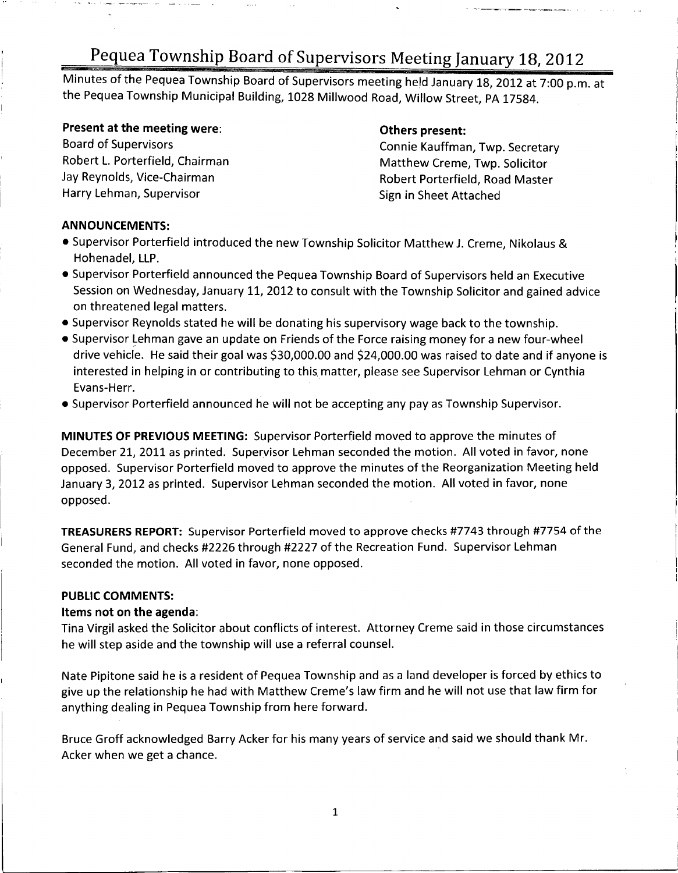Minutes of the Pequea Township Board of Supervisors meeting held January 18, 2012 at 7:00 p.m. at the Pequea Township Municipal Building, 1028 Millwood Road, Willow Street, PA 17584.

# **Present at the meeting were: Change Schers present:** Others present:<br>Board of Supervisors **Conserverse Conserverse Conserverse Conserverse Conserverse Conserverse Conserverse Conserverse Conserverse Conserverse Conserve**

Board of Supervisors Connie Kauffman, Twp. Secretary Robert L. Porterfield, Chairman<br>Jay Reynolds, Vice-Chairman Matthew Creme, Twp. Solicitor Jay Reynolds, Vice-Chairman and Electronic Robert Porterfield, Road Master<br>Harry Lehman, Supervisor and Robert Sign in Sheet Attached Sign in Sheet Attached

#### ANNOUNCEMENTS:

- Supervisor Porterfield introduced the new Township Solicitor Matthew J. Creme, Nikolaus & Hohenadel, LLP.
- Supervisor Porterfield announced the Pequea Township Board of Supervisors held an Executive Session on Wednesday, January 11, 2012 to consult with the Township Solicitor and gained advice on threatened legal matters.
- Supervisor Reynolds stated he will be donating his supervisory wage back to the township.
- Supervisor Lehman gave an update on Friends of the Force raising money for a new four-whee Supervisor Reynolds stated he will be donating his supervisory wage back to the township.<br>Supervisor Lehman gave an update on Friends of the Force raising money for a new four-wheel<br>drive vehicle. He said their goal was \$ interested in helping in or contributing to this matter, please see Supervisor Lehman or Cynthia Evans-Herr.
- Supervisor Porterfield announced he will not be accepting any pay as Township Supervisor.

MINUTES OF PREVIOUS MEETING: Supervisor Porterfield moved to approve the minutes of December 21, 2011 as printed. Supervisor Lehman seconded the motion. All voted in favor, none opposed. Supervisor Porterfield moved to approve the minutes of the Reorganization Meeting held January 3, 2012 as printed. Supervisor Lehman seconded the motion. All voted in favor, none opposed.

TREASURERS REPORT: Supervisor Porterfield moved to approve checks #7743 through #7754 of the General Fund, and checks #2226 through #2227 of the Recreation Fund. Supervisor Lehman seconded the motion. All voted in favor, none opposed.

#### PUBLIC COMMENTS:

#### Items not on the agenda:

Tina Virgil asked the Solicitor about conflicts of interest. Attorney Creme said in those circumstances he will step aside and the township will use <sup>a</sup> referral counsel.

Nate Pipitone said he is a resident of Pequea Township and as a land developer is forced by ethics to<br>give up the relationship he had with Matthew Creme's law firm and he will not use that law firm for<br>sauthing dealing in anything dealing in Pequea Township from here forward.

Bruce Groff acknowledged Barry Acker for his many years of service and said we should thank Mr. Acker when we get <sup>a</sup> chance.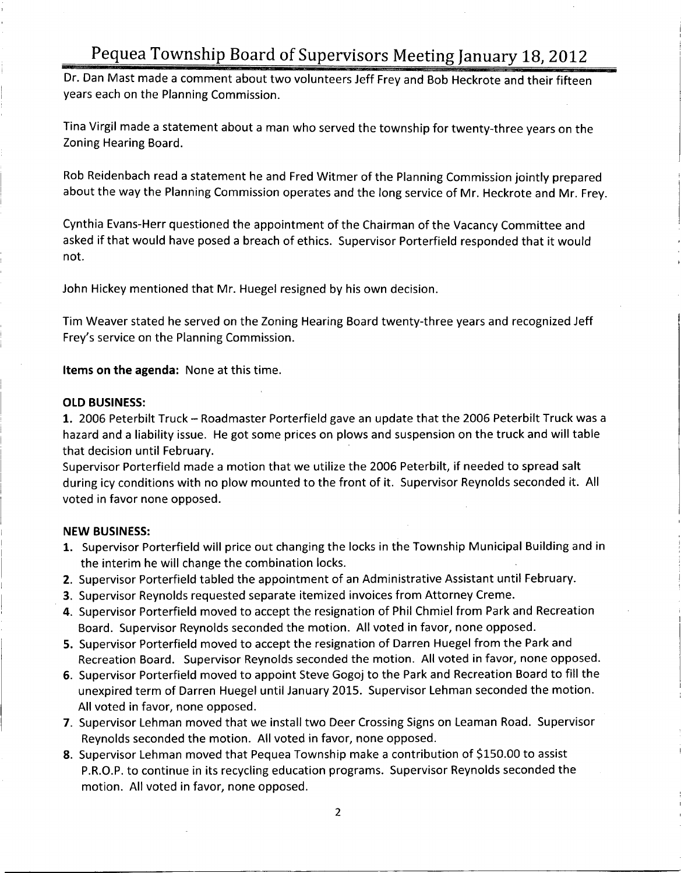Dr. Dan Mast made <sup>a</sup> comment about two volunteers Jeff Frey and Bob Heckrote and their fifteen years each on the Planning Commission.

Tina Virgil made <sup>a</sup> statement about <sup>a</sup> man who served the township for twenty -three years on the Zoning Hearing Board.

Rob Reidenbach read <sup>a</sup> statement he and Fred Witmer of the Planning Commission jointly prepared about the way the Planning Commission operates and the long service of Mr. Heckrote and Mr. Frey.

Cynthia Evans-Herr questioned the appointment of the Chairman of the Vacancy Committee and asked if that would have posed <sup>a</sup> breach of ethics. Supervisor Porterfield responded that it would not.

John Hickey mentioned that Mr. Huegel resigned by his own decision.

Tim Weaver stated he served on the Zoning Hearing Board twenty -three years and recognized Jeff <sup>l</sup> Frey's service on the Planning Commission.

Items on the agenda: None at this time.

#### OLD BUSINESS:

1. 2006 Peterbilt Truck — Roadmaster Porterfield gave an update that the <sup>2006</sup> Peterbilt Truck was <sup>a</sup> hazard and <sup>a</sup> liability issue. He got some prices on plows and suspension on the truck and will table that decision until February.

Supervisor Porterfield made <sup>a</sup> motion that we utilize the 2006 Peterbilt, if needed to spread salt during icy conditions with no plow mounted to the front of it. Supervisor Reynolds seconded it. All voted in favor none opposed.

#### NEW BUSINESS:

- 1. Supervisor Porterfield will price out changing the locks in the Township Municipal Building and in the interim he will change the combination locks.
- 2. Supervisor Porterfield tabled the appointment of an Administrative Assistant until February.
- 3. Supervisor Reynolds requested separate itemized invoices from Attorney Creme.
- 4. Supervisor Porterfield moved to accept the resignation of Phil Chmiel from Park and Recreation Board. Supervisor Reynolds seconded the motion. All voted in favor, none opposed.
- 5. Supervisor Porterfield moved to accept the resignation of Darren Huegel from the Park and Recreation Board. Supervisor Reynolds seconded the motion. All voted in favor, none opposed.
- 6. Supervisor Porterfield moved to appoint Steve Gogoj to the Park and Recreation Board to fill the unexpired term of Darren Huegel until January 2015. Supervisor Lehman seconded the motion. All voted in favor, none opposed.
- 7. Supervisor Lehman moved that we install two Deer Crossing Signs on Leaman Road. Supervisor Reynolds seconded the motion. All voted in favor, none opposed.
- 8. Supervisor Lehman moved that Pequea Township make <sup>a</sup> contribution of \$150.00 to assist P.R.O.P. to continue in its recycling education programs. Supervisor Reynolds seconded the motion. All voted in favor, none opposed.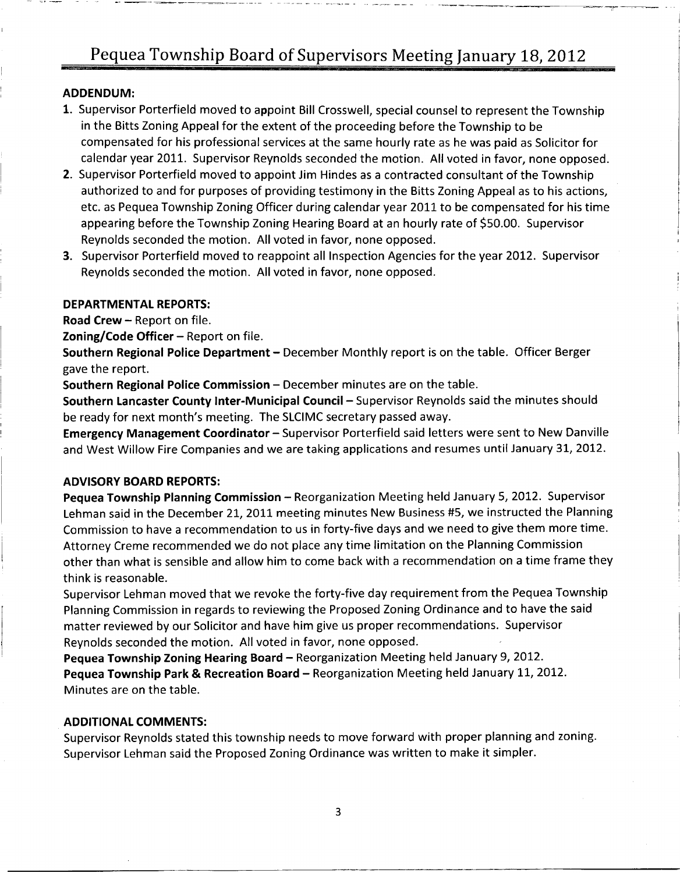### ADDENDUM:

- 1. Supervisor Porterfield moved to appoint Bill Crosswell, special counsel to represent the Township in the Bitts Zoning Appeal for the extent of the proceeding before the Township to be compensated for his professional services at the same hourly rate as he was paid as Solicitor for calendar year 2011. Supervisor Reynolds seconded the motion. All voted in favor, none opposed.
- 2. Supervisor Porterfield moved to appoint Jim Hindes as <sup>a</sup> contracted consultant of the Township authorized to and for purposes of providing testimony in the Bitts Zoning Appeal as to his actions, etc. as Pequea Township Zoning Officer during calendar year 2011 to be compensated for his time appearing before the Township Zoning Hearing Board at an hourly rate of \$50.00. Supervisor Reynolds seconded the motion. All voted in favor, none opposed.
- 3. Supervisor Porterfield moved to reappoint all Inspection Agencies for the year 2012. Supervisor Reynolds seconded the motion. All voted in favor, none opposed.

#### DEPARTMENTAL REPORTS:

Road Crew — Report on file.

**Zoning/Code Officer – Report on file.** 

Southern Regional Police Department — December Monthly report is on the table. Officer Berger gave the report.

Southern Regional Police Commission — December minutes are on the table.

Southern Lancaster County Inter-Municipal Council – Supervisor Reynolds said the minutes should<br>be ready for next month's meeting. The SLCIMC secretary passed away.<br>Free ready for next month Coordinater. Supervises Perterf

Emergency Management Coordinator - Supervisor Porterfield said letters were sent to New Danville and West Willow Fire Companies and we are taking applications and resumes until January 31, 2012.

#### ADVISORY BOARD REPORTS:

Pequea Township Planning Commission - Reorganization Meeting held January 5, 2012. Supervisor Lehman said in the December 21, 2011 meeting minutes New Business #5, we instructed the Planning Commission to have <sup>a</sup> recommendation to us in forty -five days and we need to give them more time. Attorney Creme recommended we do not place any time limitation on the Planning Commission other than what is sensible and allow him to come back with <sup>a</sup> recommendation on <sup>a</sup> time frame they think is reasonable.

Supervisor Lehman moved that we revoke the forty -five day requirement from the Pequea Township Planning Commission in regards to reviewing the Proposed Zoning Ordinance and to have the said matter reviewed by our Solicitor and have him give us proper recommendations. Supervisor Reynolds seconded the motion. All voted in favor, none opposed.

Pequea Township Zoning Hearing Board — Reorganization Meeting held January 9, 2012. Pequea Township Park & Recreation Board — Reorganization Meeting held January 11, 2012. Minutes are on the table.

#### ADDITIONAL COMMENTS:

Supervisor Reynolds stated this township needs to move forward with proper planning and zoning. Supervisor Lehman said the Proposed Zoning Ordinance was written to make it simpler.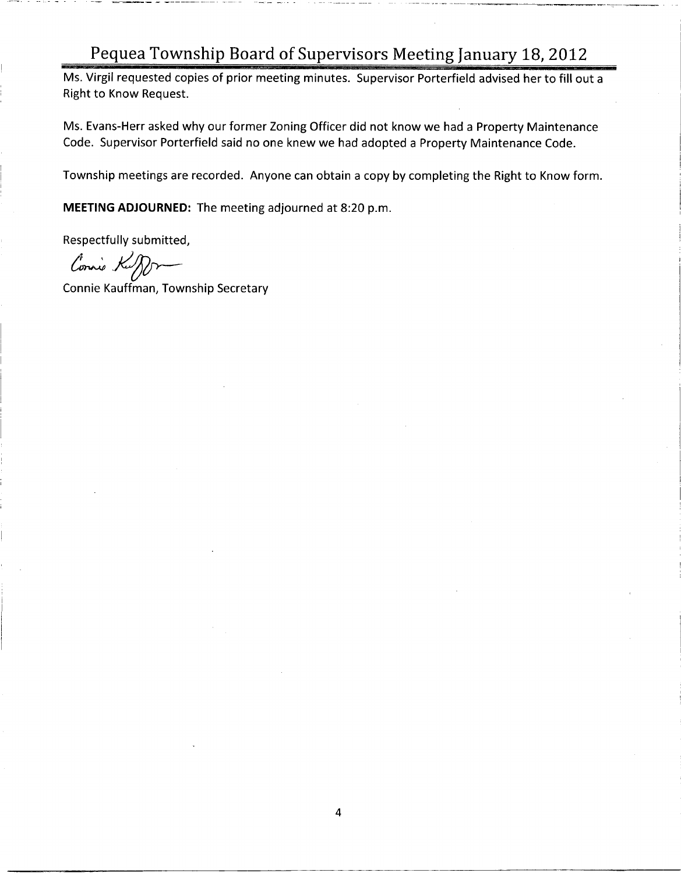Ms. Virgil requested copies of prior meeting minutes. Supervisor Porterfield advised her to fill out <sup>a</sup> Right to Know Request.

Ms. Evans-Herr asked why our former Zoning Officer did not know we had a Property Maintenance Code. Supervisor Porterfield said no one knew we had adopted <sup>a</sup> Property Maintenance Code.

Township meetings are recorded. Anyone can obtain <sup>a</sup> copy by completing the Right to Know form.

MEETING ADJOURNED: The meeting adjourned at 8:20 p.m.

Respectfully submitted,

Connie Kuff

Connie Kauffman, Township Secretary